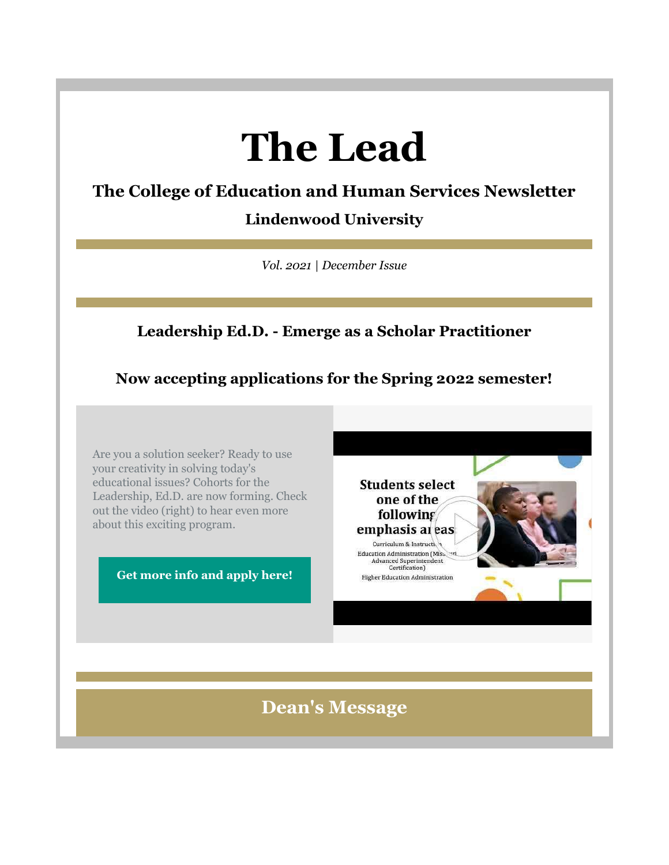# **The Lead**

## **The College of Education and Human Services Newsletter**

**Lindenwood University** 

*Vol. 2021 | December Issue*

## **Leadership Ed.D. - Emerge as a Scholar Practitioner**

## **Now accepting applications for the Spring 2022 semester!**

Are you a solution seeker? Ready to use your creativity in solving today's educational issues? Cohorts for the Leadership, Ed.D. are now forming. Check out the video (right) to hear even more about this exciting program.

**[Get more info and apply here!](https://nam04.safelinks.protection.outlook.com/?url=https%3A%2F%2Fr20.rs6.net%2Ftn.jsp%3Ff%3D001SjJg_D1Z8no8VH2uCZyK-h_yIynD_nOWVaTwDnAvK4Yt_smjaBwbD1I0cbtQkh-Ssi0OumPYFyDXPsasNAOHpPk1R2kVCQ9so9YDTzSM4QwjrHzCgE86gcVxPpgwZQ7yeuLntphuwYGwB6n15PjcaXTEgREePOg7WWq5EZl4kgHsI4wV_AogJXcItyvNWP9_rnsVYxc-bQa-1GZcAbBOK5CwbedljE8UgKcuY_O6XYhFN8zBdmmt1rKA_WyC6AfE68oB7lbgChtbbqiyTS9WxQ%3D%3D%26c%3DZR8dVMv5A-1On4NQOYUFYNNm_t91tCqMjgXDwxJU4_9wtxmerGE_9A%3D%3D%26ch%3DtV0Y9jwOp_JSKyglb5NHWHd-7LPLZ4nXewdhMbDQL_KXvrT-Jbu32g%3D%3D&data=04%7C01%7Cphuffman%40lindenwood.edu%7C926cc78d28ec432c0e8308d9b4ec5351%7C3d72f08e540a4c68905d9e69c4d9c61e%7C1%7C0%7C637739749387293908%7CUnknown%7CTWFpbGZsb3d8eyJWIjoiMC4wLjAwMDAiLCJQIjoiV2luMzIiLCJBTiI6Ik1haWwiLCJXVCI6Mn0%3D%7C3000&sdata=EqL%2FAEpvsdOdLQct93Bsj7FLeQTgaxKjiNjPFwdDVj0%3D&reserved=0)**



**Dean's Message**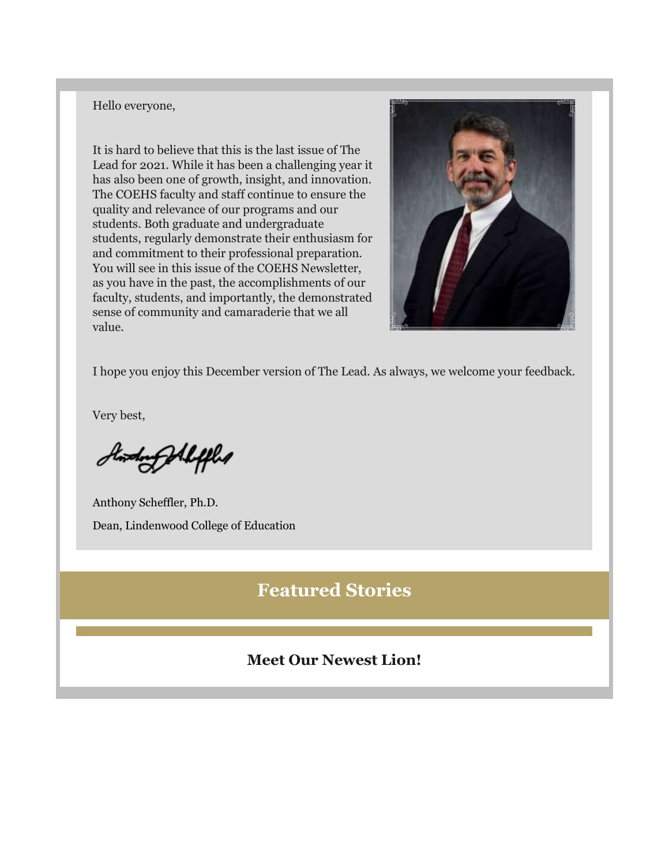#### Hello everyone,

It is hard to believe that this is the last issue of The Lead for 2021. While it has been a challenging year it has also been one of growth, insight, and innovation. The COEHS faculty and staff continue to ensure the quality and relevance of our programs and our students. Both graduate and undergraduate students, regularly demonstrate their enthusiasm for and commitment to their professional preparation. You will see in this issue of the COEHS Newsletter, as you have in the past, the accomplishments of our faculty, students, and importantly, the demonstrated sense of community and camaraderie that we all value.



I hope you enjoy this December version of The Lead. As always, we welcome your feedback.

Very best,

Standarf All fflet

Anthony Scheffler, Ph.D. Dean, Lindenwood College of Education

## **Featured Stories**

#### **Meet Our Newest Lion!**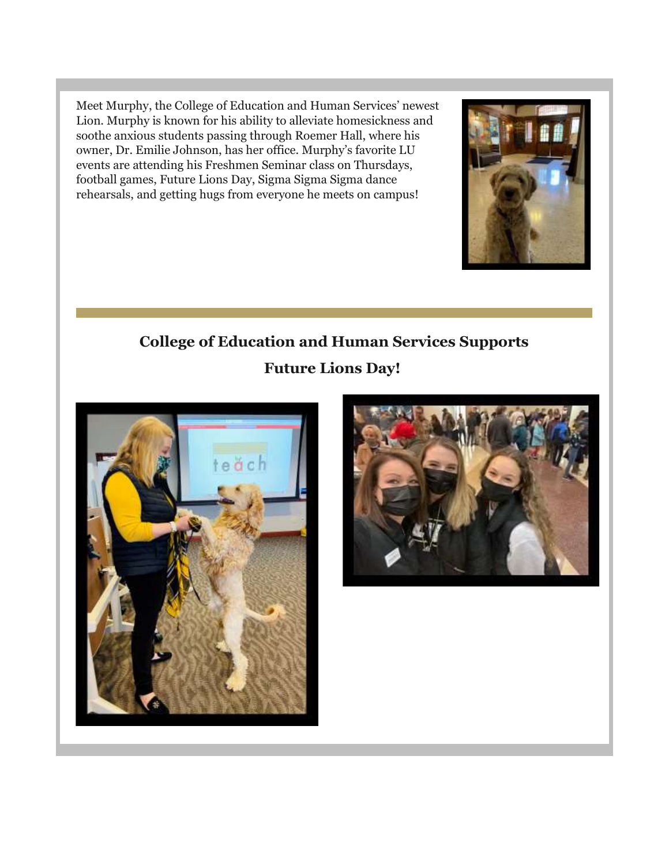Meet Murphy, the College of Education and Human Services' newest Lion. Murphy is known for his ability to alleviate homesickness and soothe anxious students passing through Roemer Hall, where his owner, Dr. Emilie Johnson, has her office. Murphy's favorite LU events are attending his Freshmen Seminar class on Thursdays, football games, Future Lions Day, Sigma Sigma Sigma dance rehearsals, and getting hugs from everyone he meets on campus!

# **College of Education and Human Services Supports Future Lions Day!**





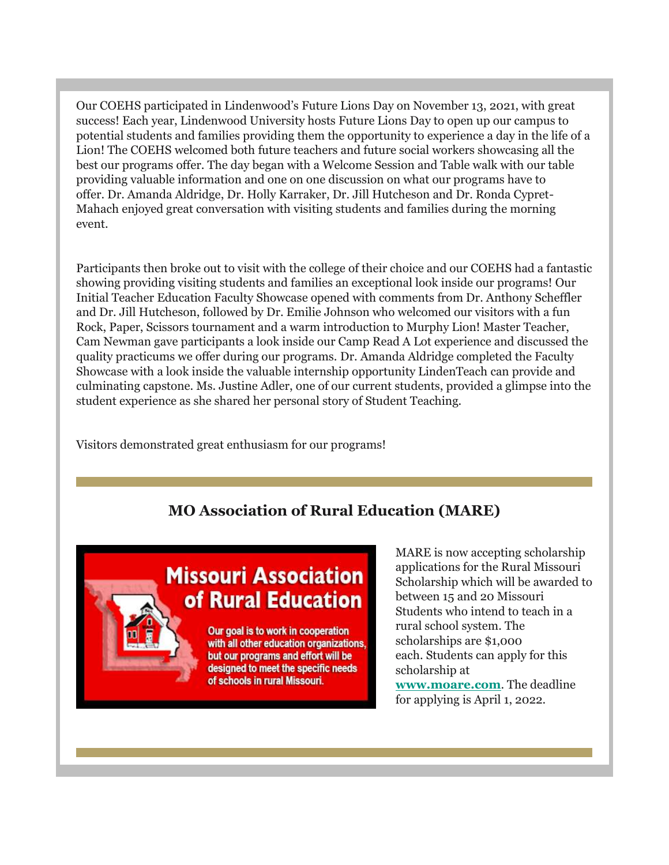Our COEHS participated in Lindenwood's Future Lions Day on November 13, 2021, with great success! Each year, Lindenwood University hosts Future Lions Day to open up our campus to potential students and families providing them the opportunity to experience a day in the life of a Lion! The COEHS welcomed both future teachers and future social workers showcasing all the best our programs offer. The day began with a Welcome Session and Table walk with our table providing valuable information and one on one discussion on what our programs have to offer. Dr. Amanda Aldridge, Dr. Holly Karraker, Dr. Jill Hutcheson and Dr. Ronda Cypret-Mahach enjoyed great conversation with visiting students and families during the morning event.

Participants then broke out to visit with the college of their choice and our COEHS had a fantastic showing providing visiting students and families an exceptional look inside our programs! Our Initial Teacher Education Faculty Showcase opened with comments from Dr. Anthony Scheffler and Dr. Jill Hutcheson, followed by Dr. Emilie Johnson who welcomed our visitors with a fun Rock, Paper, Scissors tournament and a warm introduction to Murphy Lion! Master Teacher, Cam Newman gave participants a look inside our Camp Read A Lot experience and discussed the quality practicums we offer during our programs. Dr. Amanda Aldridge completed the Faculty Showcase with a look inside the valuable internship opportunity LindenTeach can provide and culminating capstone. Ms. Justine Adler, one of our current students, provided a glimpse into the student experience as she shared her personal story of Student Teaching.

Visitors demonstrated great enthusiasm for our programs!

#### **MO Association of Rural Education (MARE)**

# **Missouri Association** of Rural Education

Our goal is to work in cooperation with all other education organizations, but our programs and effort will be designed to meet the specific needs of schools in rural Missouri.

MARE is now accepting scholarship applications for the Rural Missouri Scholarship which will be awarded to between 15 and 20 Missouri Students who intend to teach in a rural school system. The scholarships are \$1,000 each. Students can apply for this scholarship at **[www.moare.com](https://nam04.safelinks.protection.outlook.com/?url=https%3A%2F%2Fr20.rs6.net%2Ftn.jsp%3Ff%3D001SjJg_D1Z8no8VH2uCZyK-h_yIynD_nOWVaTwDnAvK4Yt_smjaBwbD0EpF3t2AOWZt6LqyyE4ongTtUfqsJz1uXL2RCVsYUBOGJqocfXwTVfY-JiSc-dKtbOSSh3lFuVEiMLYxZcUcto%3D%26c%3DZR8dVMv5A-1On4NQOYUFYNNm_t91tCqMjgXDwxJU4_9wtxmerGE_9A%3D%3D%26ch%3DtV0Y9jwOp_JSKyglb5NHWHd-7LPLZ4nXewdhMbDQL_KXvrT-Jbu32g%3D%3D&data=04%7C01%7Cphuffman%40lindenwood.edu%7C926cc78d28ec432c0e8308d9b4ec5351%7C3d72f08e540a4c68905d9e69c4d9c61e%7C1%7C0%7C637739749387303864%7CUnknown%7CTWFpbGZsb3d8eyJWIjoiMC4wLjAwMDAiLCJQIjoiV2luMzIiLCJBTiI6Ik1haWwiLCJXVCI6Mn0%3D%7C3000&sdata=y79gv220ihv9gjXYNey9JqiohcwaGQNBuGx6%2Fzmm1%2Fs%3D&reserved=0)**. The deadline for applying is April 1, 2022.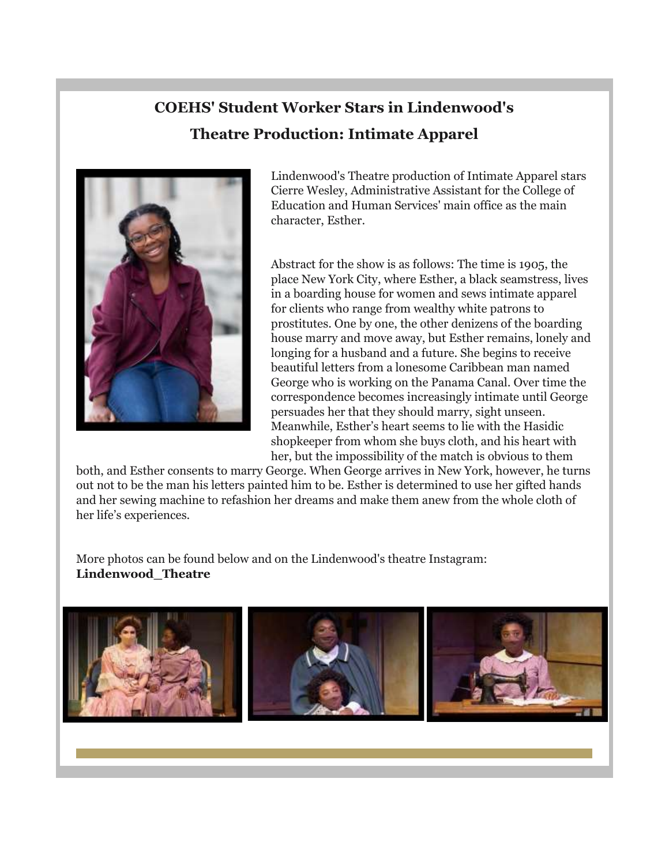## **COEHS' Student Worker Stars in Lindenwood's Theatre Production: Intimate Apparel**



Lindenwood's Theatre production of Intimate Apparel stars Cierre Wesley, Administrative Assistant for the College of Education and Human Services' main office as the main character, Esther.

Abstract for the show is as follows: The time is 1905, the place New York City, where Esther, a black seamstress, lives in a boarding house for women and sews intimate apparel for clients who range from wealthy white patrons to prostitutes. One by one, the other denizens of the boarding house marry and move away, but Esther remains, lonely and longing for a husband and a future. She begins to receive beautiful letters from a lonesome Caribbean man named George who is working on the Panama Canal. Over time the correspondence becomes increasingly intimate until George persuades her that they should marry, sight unseen. Meanwhile, Esther's heart seems to lie with the Hasidic shopkeeper from whom she buys cloth, and his heart with her, but the impossibility of the match is obvious to them

both, and Esther consents to marry George. When George arrives in New York, however, he turns out not to be the man his letters painted him to be. Esther is determined to use her gifted hands and her sewing machine to refashion her dreams and make them anew from the whole cloth of her life's experiences.

More photos can be found below and on the Lindenwood's theatre Instagram: **Lindenwood\_Theatre**

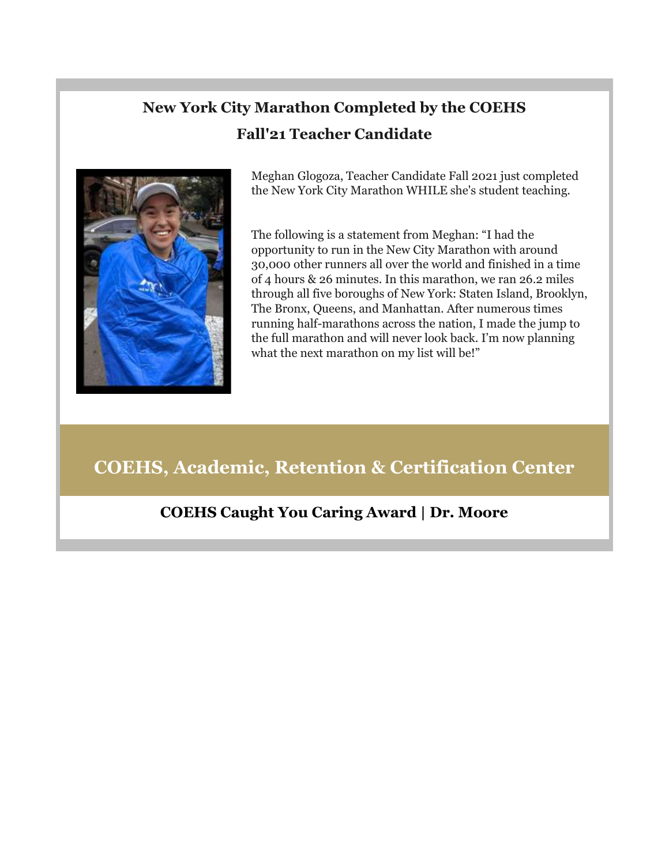## **New York City Marathon Completed by the COEHS Fall'21 Teacher Candidate**



Meghan Glogoza, Teacher Candidate Fall 2021 just completed the New York City Marathon WHILE she's student teaching.

The following is a statement from Meghan: "I had the opportunity to run in the New City Marathon with around 30,000 other runners all over the world and finished in a time of 4 hours & 26 minutes. In this marathon, we ran 26.2 miles through all five boroughs of New York: Staten Island, Brooklyn, The Bronx, Queens, and Manhattan. After numerous times running half-marathons across the nation, I made the jump to the full marathon and will never look back. I'm now planning what the next marathon on my list will be!"

## **COEHS, Academic, Retention & Certification Center**

#### **COEHS Caught You Caring Award | Dr. Moore**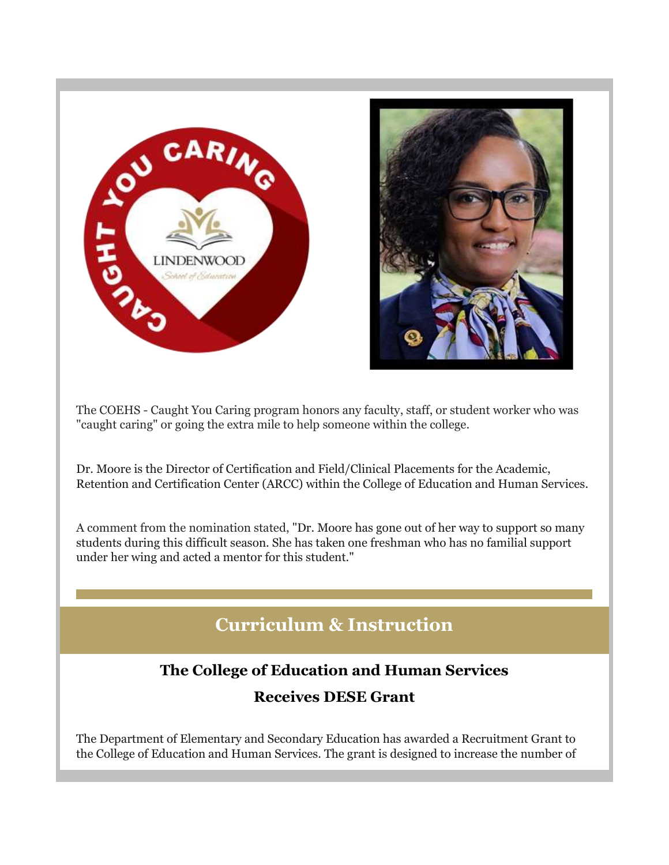



The COEHS - Caught You Caring program honors any faculty, staff, or student worker who was "caught caring" or going the extra mile to help someone within the college.

Dr. Moore is the Director of Certification and Field/Clinical Placements for the Academic, Retention and Certification Center (ARCC) within the College of Education and Human Services.

A comment from the nomination stated, "Dr. Moore has gone out of her way to support so many students during this difficult season. She has taken one freshman who has no familial support under her wing and acted a mentor for this student."

## **Curriculum & Instruction**

#### **The College of Education and Human Services**

#### **Receives DESE Grant**

The Department of Elementary and Secondary Education has awarded a Recruitment Grant to the College of Education and Human Services. The grant is designed to increase the number of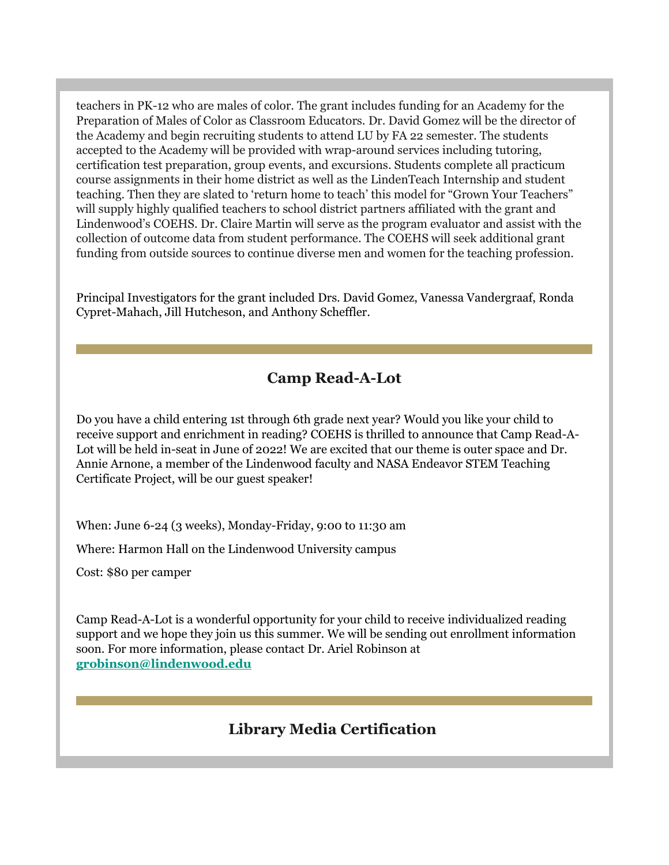teachers in PK-12 who are males of color. The grant includes funding for an Academy for the Preparation of Males of Color as Classroom Educators. Dr. David Gomez will be the director of the Academy and begin recruiting students to attend LU by FA 22 semester. The students accepted to the Academy will be provided with wrap-around services including tutoring, certification test preparation, group events, and excursions. Students complete all practicum course assignments in their home district as well as the LindenTeach Internship and student teaching. Then they are slated to 'return home to teach' this model for "Grown Your Teachers" will supply highly qualified teachers to school district partners affiliated with the grant and Lindenwood's COEHS. Dr. Claire Martin will serve as the program evaluator and assist with the collection of outcome data from student performance. The COEHS will seek additional grant funding from outside sources to continue diverse men and women for the teaching profession.

Principal Investigators for the grant included Drs. David Gomez, Vanessa Vandergraaf, Ronda Cypret-Mahach, Jill Hutcheson, and Anthony Scheffler.

#### **Camp Read-A-Lot**

Do you have a child entering 1st through 6th grade next year? Would you like your child to receive support and enrichment in reading? COEHS is thrilled to announce that Camp Read-A-Lot will be held in-seat in June of 2022! We are excited that our theme is outer space and Dr. Annie Arnone, a member of the Lindenwood faculty and NASA Endeavor STEM Teaching Certificate Project, will be our guest speaker!

When: June 6-24 (3 weeks), Monday-Friday, 9:00 to 11:30 am

Where: Harmon Hall on the Lindenwood University campus

Cost: \$80 per camper

Camp Read-A-Lot is a wonderful opportunity for your child to receive individualized reading support and we hope they join us this summer. We will be sending out enrollment information soon. For more information, please contact Dr. Ariel Robinson at **[grobinson@lindenwood.edu](mailto:grobinson@lindenwood.edu)**

#### **Library Media Certification**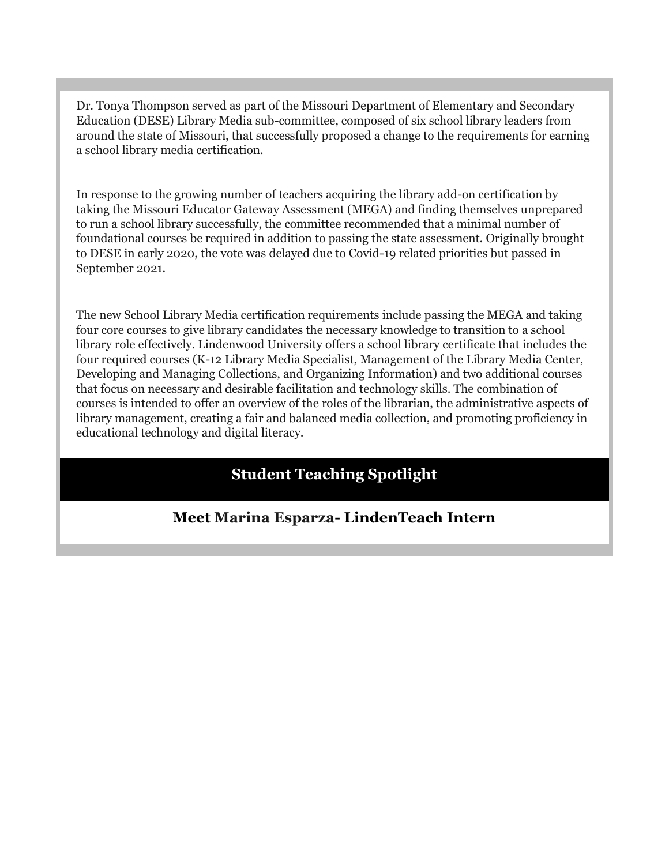Dr. Tonya Thompson served as part of the Missouri Department of Elementary and Secondary Education (DESE) Library Media sub-committee, composed of six school library leaders from around the state of Missouri, that successfully proposed a change to the requirements for earning a school library media certification.

In response to the growing number of teachers acquiring the library add-on certification by taking the Missouri Educator Gateway Assessment (MEGA) and finding themselves unprepared to run a school library successfully, the committee recommended that a minimal number of foundational courses be required in addition to passing the state assessment. Originally brought to DESE in early 2020, the vote was delayed due to Covid-19 related priorities but passed in September 2021.

The new School Library Media certification requirements include passing the MEGA and taking four core courses to give library candidates the necessary knowledge to transition to a school library role effectively. Lindenwood University offers a school library certificate that includes the four required courses (K-12 Library Media Specialist, Management of the Library Media Center, Developing and Managing Collections, and Organizing Information) and two additional courses that focus on necessary and desirable facilitation and technology skills. The combination of courses is intended to offer an overview of the roles of the librarian, the administrative aspects of library management, creating a fair and balanced media collection, and promoting proficiency in educational technology and digital literacy.

## **Student Teaching Spotlight**

#### **Meet Marina Esparza- LindenTeach Intern**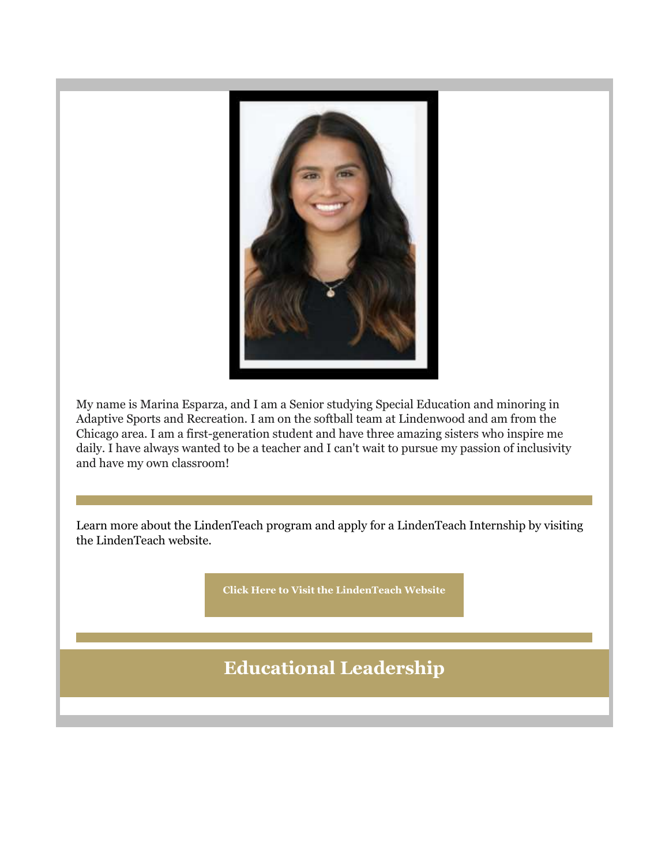

My name is Marina Esparza, and I am a Senior studying Special Education and minoring in Adaptive Sports and Recreation. I am on the softball team at Lindenwood and am from the Chicago area. I am a first-generation student and have three amazing sisters who inspire me daily. I have always wanted to be a teacher and I can't wait to pursue my passion of inclusivity and have my own classroom!

Learn more about the LindenTeach program and apply for a LindenTeach Internship by visiting the LindenTeach website.

**[Click Here to Visit the LindenTeach Website](https://nam04.safelinks.protection.outlook.com/?url=https%3A%2F%2Fr20.rs6.net%2Ftn.jsp%3Ff%3D001SjJg_D1Z8no8VH2uCZyK-h_yIynD_nOWVaTwDnAvK4Yt_smjaBwbDylWmhZFHVCea2FGOM74fxoLjMIetW5HS4HJPxXBRZFpRL_HzNGnBynqoktxnakzg74drSQ6RvTczWXyXCVH4c5R6ZsOhxRuMkzfvSk7MFQ7kq2p4tJTe2olknLZQQ4tOQ7pFR5nl0iYeiw_K4jdqzRfRXodd1yBECb1NOF_AyR6ksDSG7a2bYP56Vlt-HkYARJEq6LhiDSh2z286jeLrUg%3D%26c%3DZR8dVMv5A-1On4NQOYUFYNNm_t91tCqMjgXDwxJU4_9wtxmerGE_9A%3D%3D%26ch%3DtV0Y9jwOp_JSKyglb5NHWHd-7LPLZ4nXewdhMbDQL_KXvrT-Jbu32g%3D%3D&data=04%7C01%7Cphuffman%40lindenwood.edu%7C926cc78d28ec432c0e8308d9b4ec5351%7C3d72f08e540a4c68905d9e69c4d9c61e%7C1%7C0%7C637739749387313816%7CUnknown%7CTWFpbGZsb3d8eyJWIjoiMC4wLjAwMDAiLCJQIjoiV2luMzIiLCJBTiI6Ik1haWwiLCJXVCI6Mn0%3D%7C3000&sdata=eBs5%2B%2FMyHjq0PElmjoXwVmkAyQd07PtGPx3EnkGCjAc%3D&reserved=0)**

**Educational Leadership**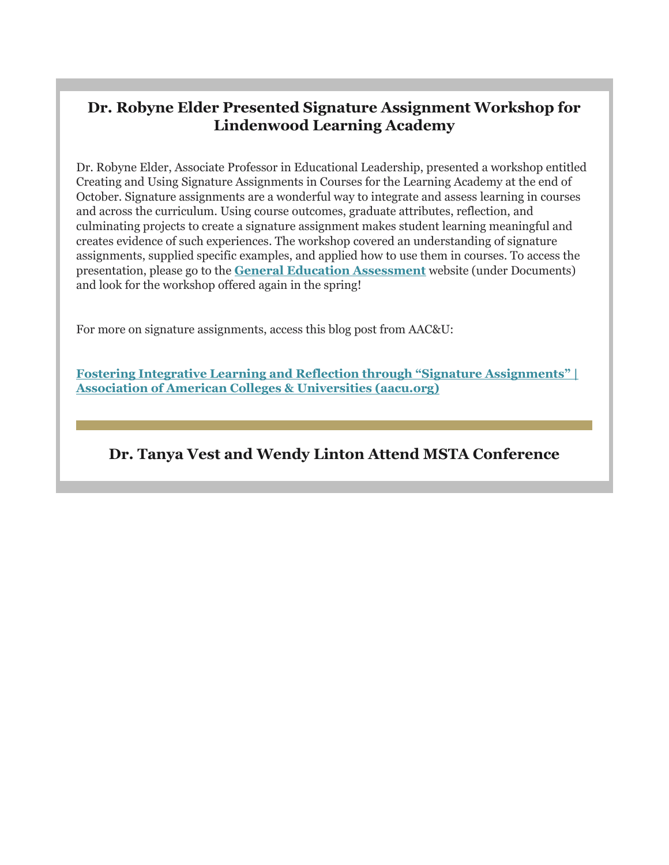#### **Dr. Robyne Elder Presented Signature Assignment Workshop for Lindenwood Learning Academy**

Dr. Robyne Elder, Associate Professor in Educational Leadership, presented a workshop entitled Creating and Using Signature Assignments in Courses for the Learning Academy at the end of October. Signature assignments are a wonderful way to integrate and assess learning in courses and across the curriculum. Using course outcomes, graduate attributes, reflection, and culminating projects to create a signature assignment makes student learning meaningful and creates evidence of such experiences. The workshop covered an understanding of signature assignments, supplied specific examples, and applied how to use them in courses. To access the presentation, please go to the **[General Education Assessment](https://nam04.safelinks.protection.outlook.com/?url=https%3A%2F%2Fr20.rs6.net%2Ftn.jsp%3Ff%3D001SjJg_D1Z8no8VH2uCZyK-h_yIynD_nOWVaTwDnAvK4Yt_smjaBwbD0EpF3t2AOWZ8EflLJSEYtYUf-Cg0gEpoksy2jtNWtHyx7kTlwIkxznxZeeU4p34aKxZM8nmIFjJsRj_OrA6YpI_eIALMg6a8mWNNAskVjo9MFhi-umrXFNwy12TOjuLYRqh0Xqmct2Njm-6MPp8sJWvCXCpVmbAwj__LJPnB_exR1ZXSgNFtOPY_a0r3eL26BqpfXCHOoVBtg1ksZN-hdbl9d7mWFAvOD8SbbiKvRFr%26c%3DZR8dVMv5A-1On4NQOYUFYNNm_t91tCqMjgXDwxJU4_9wtxmerGE_9A%3D%3D%26ch%3DtV0Y9jwOp_JSKyglb5NHWHd-7LPLZ4nXewdhMbDQL_KXvrT-Jbu32g%3D%3D&data=04%7C01%7Cphuffman%40lindenwood.edu%7C926cc78d28ec432c0e8308d9b4ec5351%7C3d72f08e540a4c68905d9e69c4d9c61e%7C1%7C0%7C637739749387323775%7CUnknown%7CTWFpbGZsb3d8eyJWIjoiMC4wLjAwMDAiLCJQIjoiV2luMzIiLCJBTiI6Ik1haWwiLCJXVCI6Mn0%3D%7C3000&sdata=uTaeQ4dviLMQv83u93Sp6PUzJq84Oh4ZqtcssAAsSU4%3D&reserved=0)** website (under Documents) and look for the workshop offered again in the spring!

For more on signature assignments, access this blog post from AAC&U:

**Fostering Integrative Learni[ng and Reflection through "Signature Assignments" |](https://nam04.safelinks.protection.outlook.com/?url=https%3A%2F%2Fr20.rs6.net%2Ftn.jsp%3Ff%3D001SjJg_D1Z8no8VH2uCZyK-h_yIynD_nOWVaTwDnAvK4Yt_smjaBwbD0EpF3t2AOWZbZRzwgmloBjOl43R1JSU_YJ_x0t3kfjeW723Zt4eMvPY3VWH-6-koxDYbwY7xZjcOSxpEKl8pFwYcVevWcbm6RYp02DAMdl2CQ_tdP9dPA_leEWh6ekqXVkkX3HPIfSCRflI5IaAbzuWiNwQ855oizhEqvOEIuEFxaPQoakf8cnUz4h9XlJ2zdu0cVMuqNpJylc_5AQsIvJn3KbjQpUVn9E0oyUL2A9_%26c%3DZR8dVMv5A-1On4NQOYUFYNNm_t91tCqMjgXDwxJU4_9wtxmerGE_9A%3D%3D%26ch%3DtV0Y9jwOp_JSKyglb5NHWHd-7LPLZ4nXewdhMbDQL_KXvrT-Jbu32g%3D%3D&data=04%7C01%7Cphuffman%40lindenwood.edu%7C926cc78d28ec432c0e8308d9b4ec5351%7C3d72f08e540a4c68905d9e69c4d9c61e%7C1%7C0%7C637739749387333733%7CUnknown%7CTWFpbGZsb3d8eyJWIjoiMC4wLjAwMDAiLCJQIjoiV2luMzIiLCJBTiI6Ik1haWwiLCJXVCI6Mn0%3D%7C3000&sdata=tAW0cWkOgePOypUeWNS24oL6sr3g17CPcIzYVcjJVx4%3D&reserved=0)  [Association of American Colleges & Universities \(aacu.org\)](https://nam04.safelinks.protection.outlook.com/?url=https%3A%2F%2Fr20.rs6.net%2Ftn.jsp%3Ff%3D001SjJg_D1Z8no8VH2uCZyK-h_yIynD_nOWVaTwDnAvK4Yt_smjaBwbD0EpF3t2AOWZbZRzwgmloBjOl43R1JSU_YJ_x0t3kfjeW723Zt4eMvPY3VWH-6-koxDYbwY7xZjcOSxpEKl8pFwYcVevWcbm6RYp02DAMdl2CQ_tdP9dPA_leEWh6ekqXVkkX3HPIfSCRflI5IaAbzuWiNwQ855oizhEqvOEIuEFxaPQoakf8cnUz4h9XlJ2zdu0cVMuqNpJylc_5AQsIvJn3KbjQpUVn9E0oyUL2A9_%26c%3DZR8dVMv5A-1On4NQOYUFYNNm_t91tCqMjgXDwxJU4_9wtxmerGE_9A%3D%3D%26ch%3DtV0Y9jwOp_JSKyglb5NHWHd-7LPLZ4nXewdhMbDQL_KXvrT-Jbu32g%3D%3D&data=04%7C01%7Cphuffman%40lindenwood.edu%7C926cc78d28ec432c0e8308d9b4ec5351%7C3d72f08e540a4c68905d9e69c4d9c61e%7C1%7C0%7C637739749387333733%7CUnknown%7CTWFpbGZsb3d8eyJWIjoiMC4wLjAwMDAiLCJQIjoiV2luMzIiLCJBTiI6Ik1haWwiLCJXVCI6Mn0%3D%7C3000&sdata=tAW0cWkOgePOypUeWNS24oL6sr3g17CPcIzYVcjJVx4%3D&reserved=0)**

#### **Dr. Tanya Vest and Wendy Linton Attend MSTA Conference**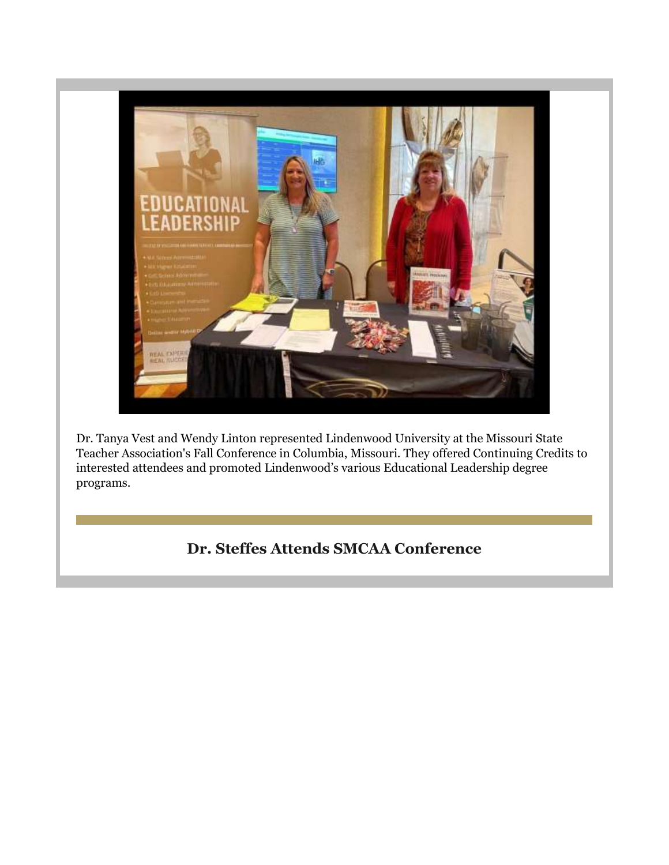

Dr. Tanya Vest and Wendy Linton represented Lindenwood University at the Missouri State Teacher Association's Fall Conference in Columbia, Missouri. They offered Continuing Credits to interested attendees and promoted Lindenwood's various Educational Leadership degree programs.

## **Dr. Steffes Attends SMCAA Conference**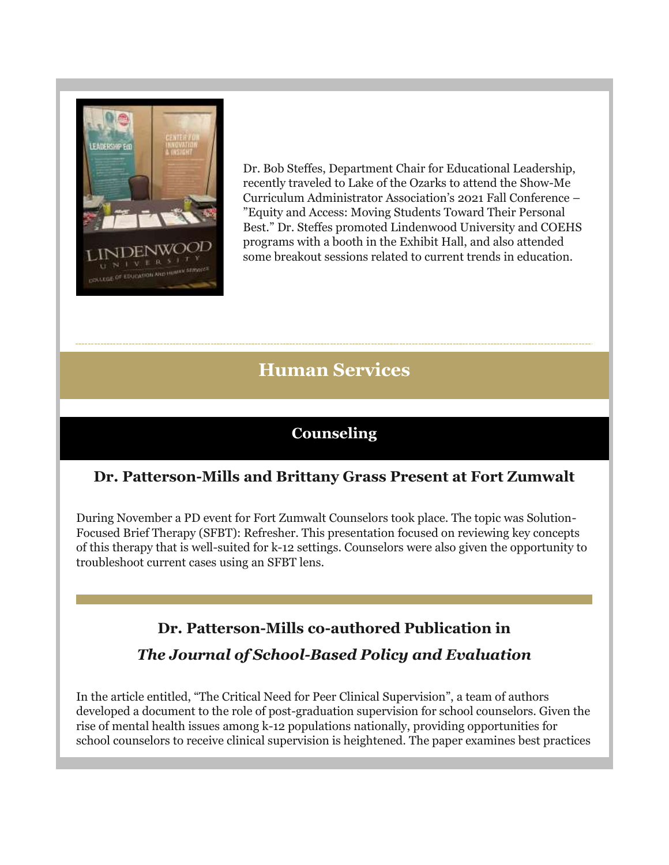

Dr. Bob Steffes, Department Chair for Educational Leadership, recently traveled to Lake of the Ozarks to attend the Show-Me Curriculum Administrator Association's 2021 Fall Conference – "Equity and Access: Moving Students Toward Their Personal Best." Dr. Steffes promoted Lindenwood University and COEHS programs with a booth in the Exhibit Hall, and also attended some breakout sessions related to current trends in education.

## **Human Services**

## **Counseling**

## **Dr. Patterson-Mills and Brittany Grass Present at Fort Zumwalt**

During November a PD event for Fort Zumwalt Counselors took place. The topic was Solution-Focused Brief Therapy (SFBT): Refresher. This presentation focused on reviewing key concepts of this therapy that is well-suited for k-12 settings. Counselors were also given the opportunity to troubleshoot current cases using an SFBT lens.

## **Dr. Patterson-Mills co-authored Publication in**

#### *The Journal of School-Based Policy and Evaluation*

In the article entitled, "The Critical Need for Peer Clinical Supervision", a team of authors developed a document to the role of post-graduation supervision for school counselors. Given the rise of mental health issues among k-12 populations nationally, providing opportunities for school counselors to receive clinical supervision is heightened. The paper examines best practices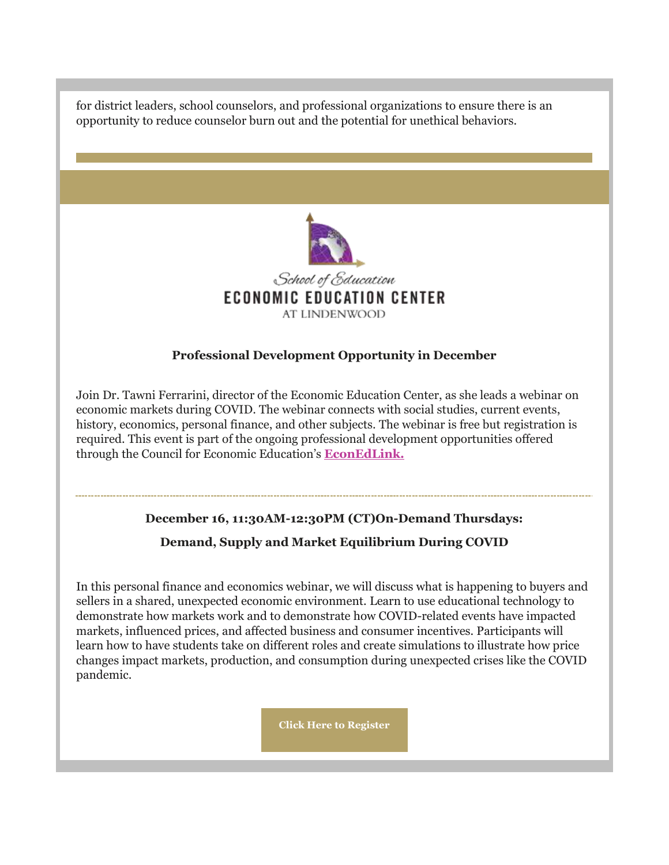for district leaders, school counselors, and professional organizations to ensure there is an opportunity to reduce counselor burn out and the potential for unethical behaviors.



#### **Professional Development Opportunity in December**

Join Dr. Tawni Ferrarini, director of the Economic Education Center, as she leads a webinar on economic markets during COVID. The webinar connects with social studies, current events, history, economics, personal finance, and other subjects. The webinar is free but registration is required. This event is part of the ongoing professional development opportunities offered through the Council for Economic Education's **[EconEdLink.](https://nam04.safelinks.protection.outlook.com/?url=https%3A%2F%2Fr20.rs6.net%2Ftn.jsp%3Ff%3D001SjJg_D1Z8no8VH2uCZyK-h_yIynD_nOWVaTwDnAvK4Yt_smjaBwbD2EuLVgU36-n17LtVCe9eE59xsRwuNxXMTbnU_q3dSOLbVKiF-ABL9FhQYPxPA3wNank796BP06s4YeTXoFd33cAaZokU01OOQ%3D%3D%26c%3DZR8dVMv5A-1On4NQOYUFYNNm_t91tCqMjgXDwxJU4_9wtxmerGE_9A%3D%3D%26ch%3DtV0Y9jwOp_JSKyglb5NHWHd-7LPLZ4nXewdhMbDQL_KXvrT-Jbu32g%3D%3D&data=04%7C01%7Cphuffman%40lindenwood.edu%7C926cc78d28ec432c0e8308d9b4ec5351%7C3d72f08e540a4c68905d9e69c4d9c61e%7C1%7C0%7C637739749387343691%7CUnknown%7CTWFpbGZsb3d8eyJWIjoiMC4wLjAwMDAiLCJQIjoiV2luMzIiLCJBTiI6Ik1haWwiLCJXVCI6Mn0%3D%7C3000&sdata=4fog%2FWVED7l7xDe3PShri%2BiB7CDPN70VsYMLFmqS3DQ%3D&reserved=0)**

# **December 16, 11:30AM-12:30PM (CT)On-Demand Thursdays:**

#### **Demand, Supply and Market Equilibrium During COVID**

In this personal finance and economics webinar, we will discuss what is happening to buyers and sellers in a shared, unexpected economic environment. Learn to use educational technology to demonstrate how markets work and to demonstrate how COVID-related events have impacted markets, influenced prices, and affected business and consumer incentives. Participants will learn how to have students take on different roles and create simulations to illustrate how price changes impact markets, production, and consumption during unexpected crises like the COVID pandemic.

**[Click Here to Register](https://nam04.safelinks.protection.outlook.com/?url=https%3A%2F%2Fr20.rs6.net%2Ftn.jsp%3Ff%3D001SjJg_D1Z8no8VH2uCZyK-h_yIynD_nOWVaTwDnAvK4Yt_smjaBwbD0EpF3t2AOWZxK8qmTs4b-lZ0y-6SQxNSSVsFWKJra-72ml8DpmUpDeULQb_79_9Al6G-RY4yJ6zsY_HW2l6Kpk6QeHkHArnZ2jK4rcS4BqfP4wm35sMBcrBOKV4ceW5DMorjUb0fZdKFQ1Z8vyJCTmEMAPJtA2zfKk6c13euLrz5CCs3x1NjmMLmtodl_zqLwfSKcqMW7JD%26c%3DZR8dVMv5A-1On4NQOYUFYNNm_t91tCqMjgXDwxJU4_9wtxmerGE_9A%3D%3D%26ch%3DtV0Y9jwOp_JSKyglb5NHWHd-7LPLZ4nXewdhMbDQL_KXvrT-Jbu32g%3D%3D&data=04%7C01%7Cphuffman%40lindenwood.edu%7C926cc78d28ec432c0e8308d9b4ec5351%7C3d72f08e540a4c68905d9e69c4d9c61e%7C1%7C0%7C637739749387363599%7CUnknown%7CTWFpbGZsb3d8eyJWIjoiMC4wLjAwMDAiLCJQIjoiV2luMzIiLCJBTiI6Ik1haWwiLCJXVCI6Mn0%3D%7C3000&sdata=FonY7d4F8T5XJzu2xd%2FNKUKITL1CsXl%2FMn58F5cV8to%3D&reserved=0)**